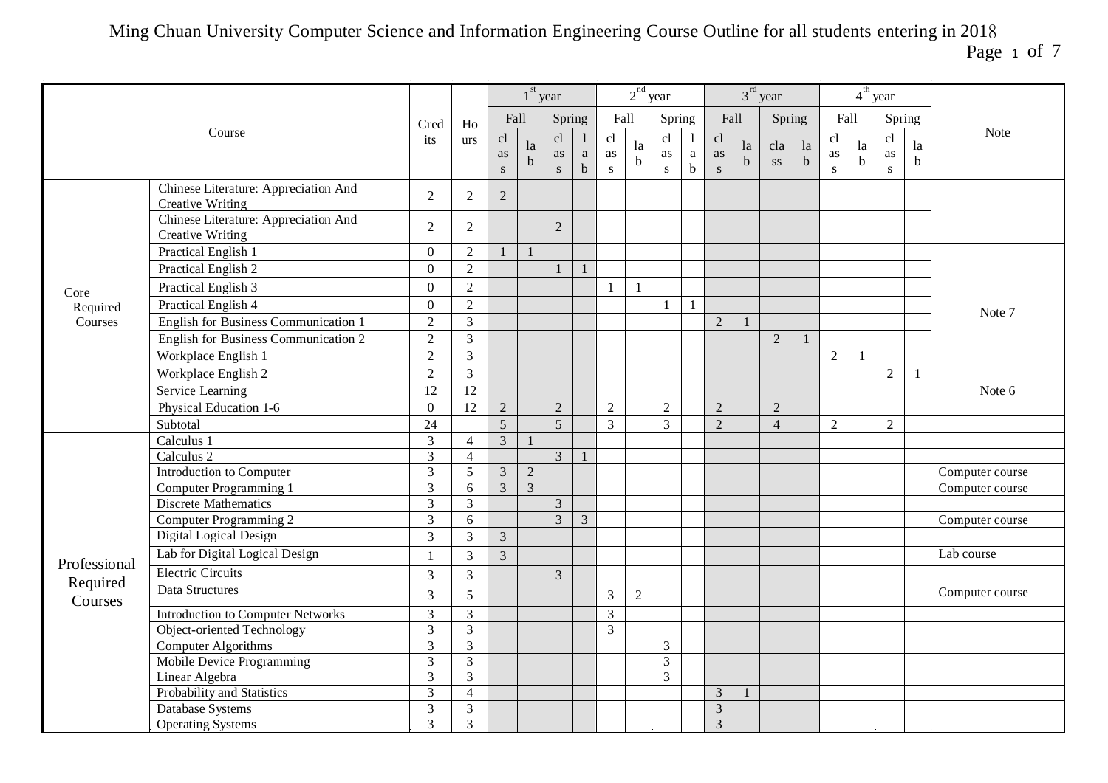Page 1 of 7

|                     |                                                                 |                |                |                |                         | $1st$ year              |                     |                       | $2nd$ year        |                |                        |                       |                   | $3rd$ year     |                   |                |                   | $4th$ year            |                   |                 |
|---------------------|-----------------------------------------------------------------|----------------|----------------|----------------|-------------------------|-------------------------|---------------------|-----------------------|-------------------|----------------|------------------------|-----------------------|-------------------|----------------|-------------------|----------------|-------------------|-----------------------|-------------------|-----------------|
|                     |                                                                 | Cred           | ${\rm Ho}$     | Fall           |                         | Spring                  |                     | Fall                  |                   | Spring         |                        | Fall                  |                   | Spring         |                   | Fall           |                   |                       | Spring            |                 |
|                     | Course                                                          | its            | urs            | cl<br>as<br>S  | la<br>$\mathbf b$       | cl<br>as<br>$\mathbf S$ | $\rm{a}$<br>$\bf b$ | cl<br>as<br>${\bf S}$ | la<br>$\mathbf b$ | cl<br>as<br>S  | -1<br>a<br>$\mathbf b$ | cl<br>as<br>${\bf S}$ | la<br>$\mathbf b$ | cla<br>SS      | la<br>$\mathbf b$ | cl<br>as<br>S  | la<br>$\mathbf b$ | cl<br>as<br>${\bf S}$ | la<br>$\mathbf b$ | <b>Note</b>     |
|                     | Chinese Literature: Appreciation And<br><b>Creative Writing</b> | 2              | $\overline{2}$ | $\overline{2}$ |                         |                         |                     |                       |                   |                |                        |                       |                   |                |                   |                |                   |                       |                   |                 |
|                     | Chinese Literature: Appreciation And<br><b>Creative Writing</b> | $\overline{2}$ | $\overline{2}$ |                |                         | 2                       |                     |                       |                   |                |                        |                       |                   |                |                   |                |                   |                       |                   |                 |
|                     | Practical English 1                                             | $\mathbf{0}$   | $\overline{2}$ |                |                         |                         |                     |                       |                   |                |                        |                       |                   |                |                   |                |                   |                       |                   |                 |
|                     | Practical English 2                                             | $\mathbf{0}$   | $\overline{2}$ |                |                         |                         |                     |                       |                   |                |                        |                       |                   |                |                   |                |                   |                       |                   |                 |
| Core                | Practical English 3                                             | $\mathbf{0}$   | $\overline{2}$ |                |                         |                         |                     | -1                    | 1                 |                |                        |                       |                   |                |                   |                |                   |                       |                   |                 |
| Required            | Practical English 4                                             | $\mathbf{0}$   | $\overline{2}$ |                |                         |                         |                     |                       |                   | $\blacksquare$ | $\mathbf{1}$           |                       |                   |                |                   |                |                   |                       |                   |                 |
| Courses             | <b>English for Business Communication 1</b>                     | $\overline{2}$ | $\overline{3}$ |                |                         |                         |                     |                       |                   |                |                        | $\overline{2}$        | $\mathbf{1}$      |                |                   |                |                   |                       |                   | Note 7          |
|                     | English for Business Communication 2                            | $\overline{2}$ | $\overline{3}$ |                |                         |                         |                     |                       |                   |                |                        |                       |                   | $\overline{2}$ |                   |                |                   |                       |                   |                 |
|                     | Workplace English 1                                             | $\overline{2}$ | $\mathfrak{Z}$ |                |                         |                         |                     |                       |                   |                |                        |                       |                   |                |                   | $\overline{2}$ | $\mathbf{1}$      |                       |                   |                 |
|                     | Workplace English 2                                             | $\overline{2}$ | $\overline{3}$ |                |                         |                         |                     |                       |                   |                |                        |                       |                   |                |                   |                |                   | $\overline{2}$        |                   |                 |
|                     | Service Learning                                                | 12             | 12             |                |                         |                         |                     |                       |                   |                |                        |                       |                   |                |                   |                |                   |                       |                   | Note 6          |
|                     | Physical Education 1-6                                          | $\mathbf{0}$   | 12             | $\sqrt{2}$     |                         | $\overline{2}$          |                     | 2                     |                   | $\overline{2}$ |                        | $\overline{2}$        |                   | $\overline{2}$ |                   |                |                   |                       |                   |                 |
|                     | Subtotal                                                        | 24             |                | 5              |                         | 5                       |                     | $\overline{3}$        |                   | $\overline{3}$ |                        | 2                     |                   | $\overline{4}$ |                   | $\overline{2}$ |                   | $\overline{2}$        |                   |                 |
|                     | Calculus 1                                                      | $\mathfrak{Z}$ | $\overline{4}$ | $\overline{3}$ |                         |                         |                     |                       |                   |                |                        |                       |                   |                |                   |                |                   |                       |                   |                 |
|                     | Calculus 2                                                      | $\mathfrak{Z}$ | $\overline{4}$ |                |                         | $\mathfrak{Z}$          |                     |                       |                   |                |                        |                       |                   |                |                   |                |                   |                       |                   |                 |
|                     | Introduction to Computer                                        | $\overline{3}$ | 5              | $\overline{3}$ | $\sqrt{2}$              |                         |                     |                       |                   |                |                        |                       |                   |                |                   |                |                   |                       |                   | Computer course |
|                     | Computer Programming 1                                          | $\mathfrak{Z}$ | 6              | $\overline{3}$ | $\overline{\mathbf{3}}$ |                         |                     |                       |                   |                |                        |                       |                   |                |                   |                |                   |                       |                   | Computer course |
|                     | <b>Discrete Mathematics</b>                                     | $\mathfrak{Z}$ | $\overline{3}$ |                |                         | $\overline{3}$          |                     |                       |                   |                |                        |                       |                   |                |                   |                |                   |                       |                   |                 |
|                     | Computer Programming 2                                          | 3              | 6              |                |                         | 3                       | 3                   |                       |                   |                |                        |                       |                   |                |                   |                |                   |                       |                   | Computer course |
|                     | Digital Logical Design                                          | $\mathfrak{Z}$ | 3              | $\mathfrak{Z}$ |                         |                         |                     |                       |                   |                |                        |                       |                   |                |                   |                |                   |                       |                   |                 |
|                     | Lab for Digital Logical Design                                  | $\mathbf{1}$   | 3              | $\overline{3}$ |                         |                         |                     |                       |                   |                |                        |                       |                   |                |                   |                |                   |                       |                   | Lab course      |
| Professional        | <b>Electric Circuits</b>                                        | $\overline{3}$ | $\overline{3}$ |                |                         | $\overline{3}$          |                     |                       |                   |                |                        |                       |                   |                |                   |                |                   |                       |                   |                 |
| Required<br>Courses | Data Structures                                                 | 3              | 5              |                |                         |                         |                     | 3                     | $\overline{2}$    |                |                        |                       |                   |                |                   |                |                   |                       |                   | Computer course |
|                     | <b>Introduction to Computer Networks</b>                        | $\mathfrak{Z}$ | $\overline{3}$ |                |                         |                         |                     | $\mathfrak{Z}$        |                   |                |                        |                       |                   |                |                   |                |                   |                       |                   |                 |
|                     | Object-oriented Technology                                      | $\mathfrak{Z}$ | $\mathfrak{Z}$ |                |                         |                         |                     | $\overline{3}$        |                   |                |                        |                       |                   |                |                   |                |                   |                       |                   |                 |
|                     | Computer Algorithms                                             | $\overline{3}$ | $\overline{3}$ |                |                         |                         |                     |                       |                   | $\overline{3}$ |                        |                       |                   |                |                   |                |                   |                       |                   |                 |
|                     | Mobile Device Programming                                       | $\mathfrak{Z}$ | $\overline{3}$ |                |                         |                         |                     |                       |                   | $\mathfrak{Z}$ |                        |                       |                   |                |                   |                |                   |                       |                   |                 |
|                     | Linear Algebra                                                  | 3              | 3              |                |                         |                         |                     |                       |                   | 3              |                        |                       |                   |                |                   |                |                   |                       |                   |                 |
|                     | Probability and Statistics                                      | $\mathfrak{Z}$ | $\overline{4}$ |                |                         |                         |                     |                       |                   |                |                        | $\mathfrak{Z}$        | $\mathbf{1}$      |                |                   |                |                   |                       |                   |                 |
|                     | Database Systems                                                | $\overline{3}$ | $\mathfrak{Z}$ |                |                         |                         |                     |                       |                   |                |                        | $\mathfrak{Z}$        |                   |                |                   |                |                   |                       |                   |                 |
|                     | <b>Operating Systems</b>                                        | $\overline{3}$ | $\overline{3}$ |                |                         |                         |                     |                       |                   |                |                        | $\overline{3}$        |                   |                |                   |                |                   |                       |                   |                 |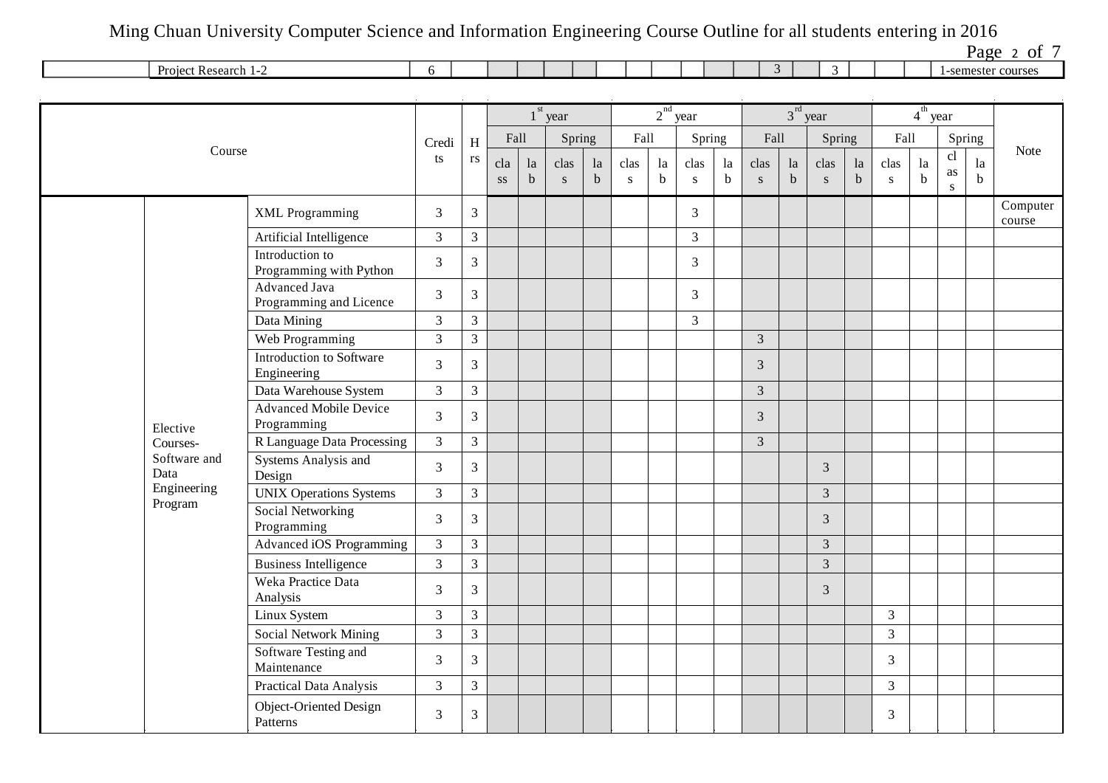Page 2 of  $7$ 

|        |              |  |  |  |  |  |  |     |  | $u \in$<br><b>171</b>      |
|--------|--------------|--|--|--|--|--|--|-----|--|----------------------------|
| Projec | t Research 1 |  |  |  |  |  |  | . . |  | semester courses<br>$\sim$ |
|        |              |  |  |  |  |  |  |     |  |                            |

|                        |                                              |                |                |                               |                   | $1st$ year        |                   |                   |                   | $2nd$ year     |                   |                   |               | $3rd$ year        |                   |                   | $4th$ year        |                       |                   |                    |
|------------------------|----------------------------------------------|----------------|----------------|-------------------------------|-------------------|-------------------|-------------------|-------------------|-------------------|----------------|-------------------|-------------------|---------------|-------------------|-------------------|-------------------|-------------------|-----------------------|-------------------|--------------------|
|                        |                                              | Credi          | $\rm H$        | Fall                          |                   | Spring            |                   | Fall              |                   | Spring         |                   | Fall              |               | Spring            |                   | Fall              |                   |                       | Spring            |                    |
| Course                 |                                              | ts             | rs             | cla<br>$\mathbf{S}\mathbf{S}$ | la<br>$\mathbf b$ | clas<br>${\bf S}$ | la<br>$\mathbf b$ | clas<br>${\bf S}$ | la<br>$\mathbf b$ | clas<br>S      | la<br>$\mathbf b$ | clas<br>${\bf S}$ | la<br>$\bf b$ | clas<br>${\bf S}$ | la<br>$\mathbf b$ | clas<br>${\bf S}$ | la<br>$\mathbf b$ | cl<br>as<br>${\bf S}$ | la<br>$\mathbf b$ | <b>Note</b>        |
|                        | <b>XML</b> Programming                       | $\mathfrak{Z}$ | $\mathfrak{Z}$ |                               |                   |                   |                   |                   |                   | 3              |                   |                   |               |                   |                   |                   |                   |                       |                   | Computer<br>course |
|                        | Artificial Intelligence                      | $\mathfrak{Z}$ | $\mathfrak{Z}$ |                               |                   |                   |                   |                   |                   | $\overline{3}$ |                   |                   |               |                   |                   |                   |                   |                       |                   |                    |
|                        | Introduction to<br>Programming with Python   | $\overline{3}$ | $\mathfrak{Z}$ |                               |                   |                   |                   |                   |                   | 3              |                   |                   |               |                   |                   |                   |                   |                       |                   |                    |
|                        | Advanced Java<br>Programming and Licence     | $\overline{3}$ | $\overline{3}$ |                               |                   |                   |                   |                   |                   | 3              |                   |                   |               |                   |                   |                   |                   |                       |                   |                    |
|                        | Data Mining                                  | $\overline{3}$ | $\overline{3}$ |                               |                   |                   |                   |                   |                   | $\overline{3}$ |                   |                   |               |                   |                   |                   |                   |                       |                   |                    |
|                        | Web Programming                              | $\overline{3}$ | $\overline{3}$ |                               |                   |                   |                   |                   |                   |                |                   | $\overline{3}$    |               |                   |                   |                   |                   |                       |                   |                    |
|                        | Introduction to Software<br>Engineering      | $\overline{3}$ | 3              |                               |                   |                   |                   |                   |                   |                |                   | 3                 |               |                   |                   |                   |                   |                       |                   |                    |
|                        | Data Warehouse System                        | $\mathfrak{Z}$ | $\overline{3}$ |                               |                   |                   |                   |                   |                   |                |                   | $\overline{3}$    |               |                   |                   |                   |                   |                       |                   |                    |
| Elective               | <b>Advanced Mobile Device</b><br>Programming | $\overline{3}$ | $\mathfrak{Z}$ |                               |                   |                   |                   |                   |                   |                |                   | 3                 |               |                   |                   |                   |                   |                       |                   |                    |
| Courses-               | R Language Data Processing                   | $\overline{3}$ | $\overline{3}$ |                               |                   |                   |                   |                   |                   |                |                   | $\overline{3}$    |               |                   |                   |                   |                   |                       |                   |                    |
| Software and<br>Data   | Systems Analysis and<br>Design               | $\overline{3}$ | $\mathfrak{Z}$ |                               |                   |                   |                   |                   |                   |                |                   |                   |               | 3                 |                   |                   |                   |                       |                   |                    |
| Engineering<br>Program | <b>UNIX Operations Systems</b>               | $\overline{3}$ | $\overline{3}$ |                               |                   |                   |                   |                   |                   |                |                   |                   |               | $\overline{3}$    |                   |                   |                   |                       |                   |                    |
|                        | Social Networking<br>Programming             | $\overline{3}$ | $\mathfrak{Z}$ |                               |                   |                   |                   |                   |                   |                |                   |                   |               | 3                 |                   |                   |                   |                       |                   |                    |
|                        | Advanced iOS Programming                     | $\overline{3}$ | $\overline{3}$ |                               |                   |                   |                   |                   |                   |                |                   |                   |               | $\overline{3}$    |                   |                   |                   |                       |                   |                    |
|                        | <b>Business Intelligence</b>                 | $\overline{3}$ | $\overline{3}$ |                               |                   |                   |                   |                   |                   |                |                   |                   |               | $\overline{3}$    |                   |                   |                   |                       |                   |                    |
|                        | Weka Practice Data<br>Analysis               | $\overline{3}$ | $\overline{3}$ |                               |                   |                   |                   |                   |                   |                |                   |                   |               | 3                 |                   |                   |                   |                       |                   |                    |
|                        | Linux System                                 | $\mathfrak{Z}$ | $\overline{3}$ |                               |                   |                   |                   |                   |                   |                |                   |                   |               |                   |                   | $\mathfrak{Z}$    |                   |                       |                   |                    |
|                        | Social Network Mining                        | $\overline{3}$ | $\mathfrak{Z}$ |                               |                   |                   |                   |                   |                   |                |                   |                   |               |                   |                   | $\mathfrak{Z}$    |                   |                       |                   |                    |
|                        | Software Testing and<br>Maintenance          | $\overline{3}$ | $\mathfrak{Z}$ |                               |                   |                   |                   |                   |                   |                |                   |                   |               |                   |                   | 3                 |                   |                       |                   |                    |
|                        | Practical Data Analysis                      | $\overline{3}$ | $\mathfrak{Z}$ |                               |                   |                   |                   |                   |                   |                |                   |                   |               |                   |                   | $\mathfrak{Z}$    |                   |                       |                   |                    |
|                        | Object-Oriented Design<br>Patterns           | $\mathfrak{Z}$ | $\mathfrak{Z}$ |                               |                   |                   |                   |                   |                   |                |                   |                   |               |                   |                   | $\mathfrak{Z}$    |                   |                       |                   |                    |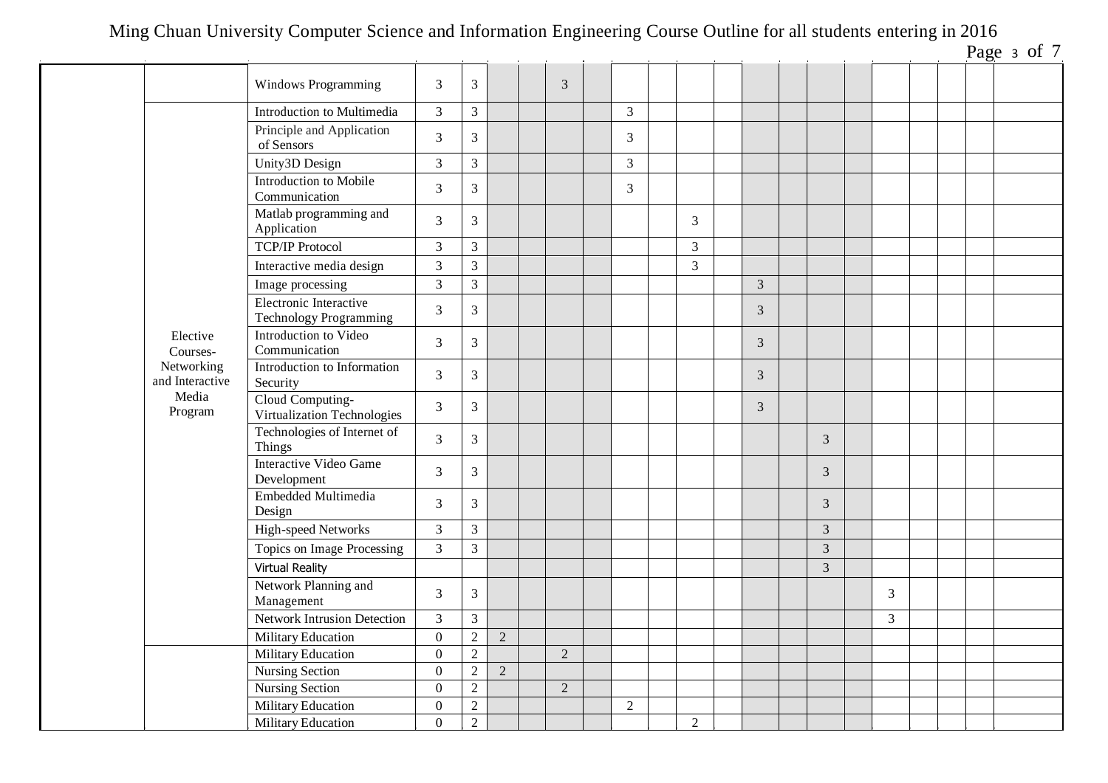| Page | э | ΩI |  |
|------|---|----|--|
|      |   |    |  |

|                               |                                                         |                  |                |                |                |                |                |                |                |   |  | rage $\frac{1}{2}$ or $\frac{1}{2}$ |
|-------------------------------|---------------------------------------------------------|------------------|----------------|----------------|----------------|----------------|----------------|----------------|----------------|---|--|-------------------------------------|
|                               | <b>Windows Programming</b>                              | 3                | $\overline{3}$ |                | 3              |                |                |                |                |   |  |                                     |
|                               | Introduction to Multimedia                              | $\mathfrak{Z}$   | $\mathfrak{Z}$ |                |                | $\mathfrak{Z}$ |                |                |                |   |  |                                     |
|                               | Principle and Application<br>of Sensors                 | 3                | $\overline{3}$ |                |                | $\mathfrak{Z}$ |                |                |                |   |  |                                     |
|                               | Unity3D Design                                          | 3                | $\overline{3}$ |                |                | $\mathfrak{Z}$ |                |                |                |   |  |                                     |
|                               | Introduction to Mobile<br>Communication                 | 3                | $\mathfrak{Z}$ |                |                | 3              |                |                |                |   |  |                                     |
|                               | Matlab programming and<br>Application                   | 3                | $\overline{3}$ |                |                |                | 3              |                |                |   |  |                                     |
|                               | <b>TCP/IP Protocol</b>                                  | 3                | $\mathfrak{Z}$ |                |                |                | $\overline{3}$ |                |                |   |  |                                     |
|                               | Interactive media design                                | 3                | $\overline{3}$ |                |                |                | $\overline{3}$ |                |                |   |  |                                     |
|                               | Image processing                                        | 3                | $\overline{3}$ |                |                |                |                | $\mathfrak{Z}$ |                |   |  |                                     |
|                               | Electronic Interactive<br><b>Technology Programming</b> | 3                | $\mathfrak{Z}$ |                |                |                |                | 3              |                |   |  |                                     |
| Elective<br>Courses-          | Introduction to Video<br>Communication                  | 3                | $\mathfrak{Z}$ |                |                |                |                | 3              |                |   |  |                                     |
| Networking<br>and Interactive | Introduction to Information<br>Security                 | $\mathfrak{Z}$   | $\mathfrak{Z}$ |                |                |                |                | $\mathfrak{Z}$ |                |   |  |                                     |
| Media<br>Program              | Cloud Computing-<br>Virtualization Technologies         | 3                | $\overline{3}$ |                |                |                |                | $\mathfrak{Z}$ |                |   |  |                                     |
|                               | Technologies of Internet of<br>Things                   | $\mathfrak{Z}$   | $\mathfrak{Z}$ |                |                |                |                |                | 3              |   |  |                                     |
|                               | <b>Interactive Video Game</b><br>Development            | 3                | $\overline{3}$ |                |                |                |                |                | 3              |   |  |                                     |
|                               | Embedded Multimedia<br>Design                           | 3                | $\overline{3}$ |                |                |                |                |                | 3              |   |  |                                     |
|                               | High-speed Networks                                     | $\mathfrak{Z}$   | 3              |                |                |                |                |                | 3              |   |  |                                     |
|                               | Topics on Image Processing                              | 3                | $\overline{3}$ |                |                |                |                |                | $\overline{3}$ |   |  |                                     |
|                               | <b>Virtual Reality</b>                                  |                  |                |                |                |                |                |                | $\overline{3}$ |   |  |                                     |
|                               | Network Planning and<br>Management                      | $\mathfrak{Z}$   | $\overline{3}$ |                |                |                |                |                |                | 3 |  |                                     |
|                               | Network Intrusion Detection                             | $\mathfrak{Z}$   | $\overline{3}$ |                |                |                |                |                |                | 3 |  |                                     |
|                               | <b>Military Education</b>                               | $\boldsymbol{0}$ | $\overline{2}$ | $\overline{2}$ |                |                |                |                |                |   |  |                                     |
|                               | <b>Military Education</b>                               | $\boldsymbol{0}$ | $\overline{2}$ |                | $\overline{2}$ |                |                |                |                |   |  |                                     |
|                               | Nursing Section                                         | $\overline{0}$   | $\overline{2}$ | $\overline{2}$ |                |                |                |                |                |   |  |                                     |
|                               | <b>Nursing Section</b>                                  | $\mathbf{0}$     | $\overline{2}$ |                | 2              |                |                |                |                |   |  |                                     |
|                               | Military Education                                      | $\boldsymbol{0}$ | $\overline{2}$ |                |                | $\overline{2}$ |                |                |                |   |  |                                     |
|                               | Military Education                                      | $\overline{0}$   | $\overline{2}$ |                |                |                | $\overline{2}$ |                |                |   |  |                                     |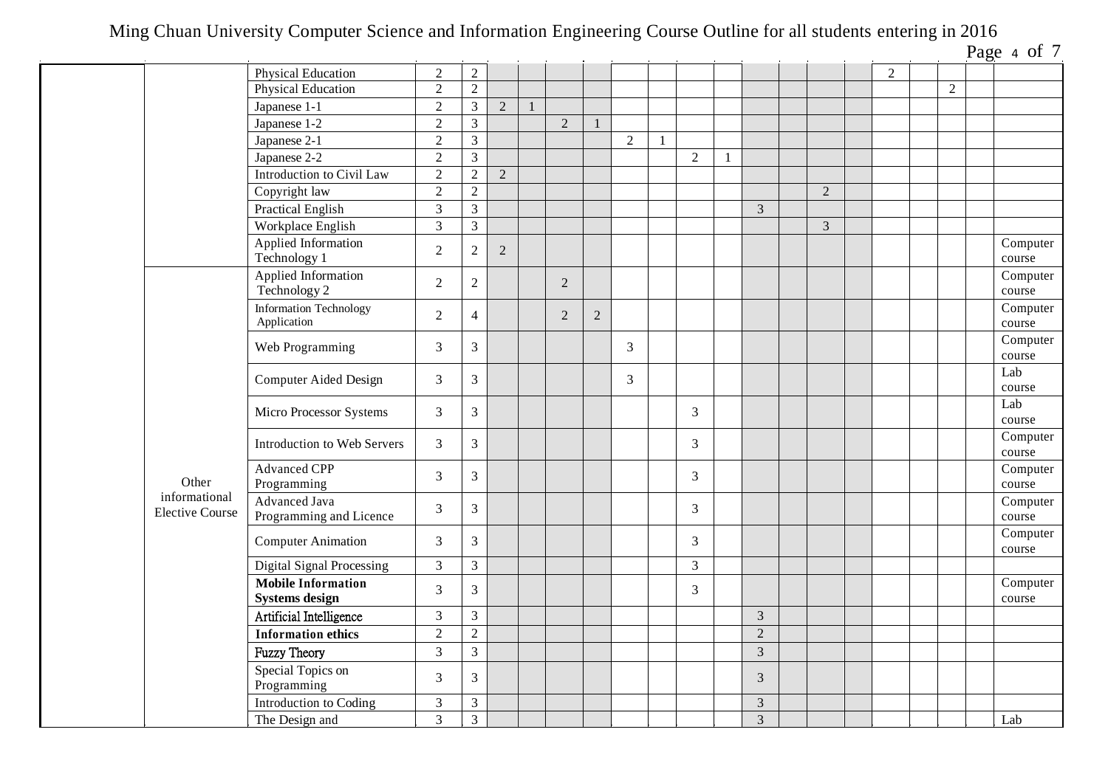| Page | Δ | 0Ť |  |
|------|---|----|--|
|      |   |    |  |

|                                         |                                                    |                |                         |                |              |                |                |                |              |                |                |                |                |                | $1450 + 017$       |
|-----------------------------------------|----------------------------------------------------|----------------|-------------------------|----------------|--------------|----------------|----------------|----------------|--------------|----------------|----------------|----------------|----------------|----------------|--------------------|
|                                         | Physical Education                                 | $\overline{2}$ | $\overline{2}$          |                |              |                |                |                |              |                |                |                | $\overline{2}$ |                |                    |
|                                         | Physical Education                                 | $\overline{2}$ | $\overline{2}$          |                |              |                |                |                |              |                |                |                |                | $\overline{2}$ |                    |
|                                         | Japanese 1-1                                       | $\overline{2}$ | $\overline{3}$          | $\overline{2}$ | $\mathbf{1}$ |                |                |                |              |                |                |                |                |                |                    |
|                                         | Japanese 1-2                                       | $\overline{2}$ | $\mathfrak{Z}$          |                |              | $\overline{2}$ |                |                |              |                |                |                |                |                |                    |
|                                         | Japanese 2-1                                       | $\overline{2}$ | $\mathfrak{Z}$          |                |              |                |                | $\overline{2}$ | $\mathbf{1}$ |                |                |                |                |                |                    |
|                                         | Japanese 2-2                                       | $\sqrt{2}$     | $\overline{3}$          |                |              |                |                |                |              | $\overline{2}$ |                |                |                |                |                    |
|                                         | Introduction to Civil Law                          | $\overline{2}$ | $\overline{2}$          | $\overline{2}$ |              |                |                |                |              |                |                |                |                |                |                    |
|                                         | Copyright law                                      | $\overline{2}$ | $\overline{2}$          |                |              |                |                |                |              |                |                | $\overline{2}$ |                |                |                    |
|                                         | <b>Practical English</b>                           | $\overline{3}$ | $\overline{\mathbf{3}}$ |                |              |                |                |                |              |                | 3              |                |                |                |                    |
|                                         | Workplace English                                  | $\overline{3}$ | $\overline{3}$          |                |              |                |                |                |              |                |                | $\mathfrak{Z}$ |                |                |                    |
|                                         | Applied Information<br>Technology 1                | $\overline{2}$ | $\sqrt{2}$              | $\overline{2}$ |              |                |                |                |              |                |                |                |                |                | Computer<br>course |
|                                         | Applied Information<br>Technology 2                | $\overline{2}$ | $\overline{2}$          |                |              | $\overline{2}$ |                |                |              |                |                |                |                |                | Computer<br>course |
|                                         | <b>Information Technology</b><br>Application       | $\overline{2}$ | $\overline{4}$          |                |              | $\overline{2}$ | $\overline{2}$ |                |              |                |                |                |                |                | Computer<br>course |
|                                         | Web Programming                                    | 3              | $\overline{3}$          |                |              |                |                | $\mathfrak{Z}$ |              |                |                |                |                |                | Computer<br>course |
|                                         | <b>Computer Aided Design</b>                       | $\mathfrak{Z}$ | 3                       |                |              |                |                | $\mathfrak{Z}$ |              |                |                |                |                |                | Lab<br>course      |
|                                         | Micro Processor Systems                            | 3              | $\mathfrak{Z}$          |                |              |                |                |                |              | 3              |                |                |                |                | Lab<br>course      |
|                                         | Introduction to Web Servers                        | $\mathfrak{Z}$ | $\overline{3}$          |                |              |                |                |                |              | 3              |                |                |                |                | Computer<br>course |
| Other                                   | <b>Advanced CPP</b><br>Programming                 | $\mathfrak{Z}$ | $\overline{3}$          |                |              |                |                |                |              | 3              |                |                |                |                | Computer<br>course |
| informational<br><b>Elective Course</b> | Advanced Java<br>Programming and Licence           | 3              | $\mathfrak{Z}$          |                |              |                |                |                |              | 3              |                |                |                |                | Computer<br>course |
|                                         | <b>Computer Animation</b>                          | $\mathfrak{Z}$ | $\mathfrak{Z}$          |                |              |                |                |                |              | 3              |                |                |                |                | Computer<br>course |
|                                         | Digital Signal Processing                          | $\overline{3}$ | $\overline{3}$          |                |              |                |                |                |              | 3              |                |                |                |                |                    |
|                                         | <b>Mobile Information</b><br><b>Systems design</b> | $\overline{3}$ | $\mathfrak{Z}$          |                |              |                |                |                |              | 3              |                |                |                |                | Computer<br>course |
|                                         | Artificial Intelligence                            | $\overline{3}$ | $\mathfrak{Z}$          |                |              |                |                |                |              |                | $\overline{3}$ |                |                |                |                    |
|                                         | <b>Information ethics</b>                          | $\overline{2}$ | $\overline{2}$          |                |              |                |                |                |              |                | $\overline{2}$ |                |                |                |                    |
|                                         | <b>Fuzzy Theory</b>                                | $\overline{3}$ | $\mathfrak{Z}$          |                |              |                |                |                |              |                | $\overline{3}$ |                |                |                |                    |
|                                         | Special Topics on<br>Programming                   | $\overline{3}$ | $\overline{3}$          |                |              |                |                |                |              |                | 3              |                |                |                |                    |
|                                         | Introduction to Coding                             | $\overline{3}$ | $\overline{3}$          |                |              |                |                |                |              |                | $\overline{3}$ |                |                |                |                    |
|                                         | The Design and                                     | $\overline{3}$ | $\overline{3}$          |                |              |                |                |                |              |                | $\mathfrak{Z}$ |                |                |                | Lab                |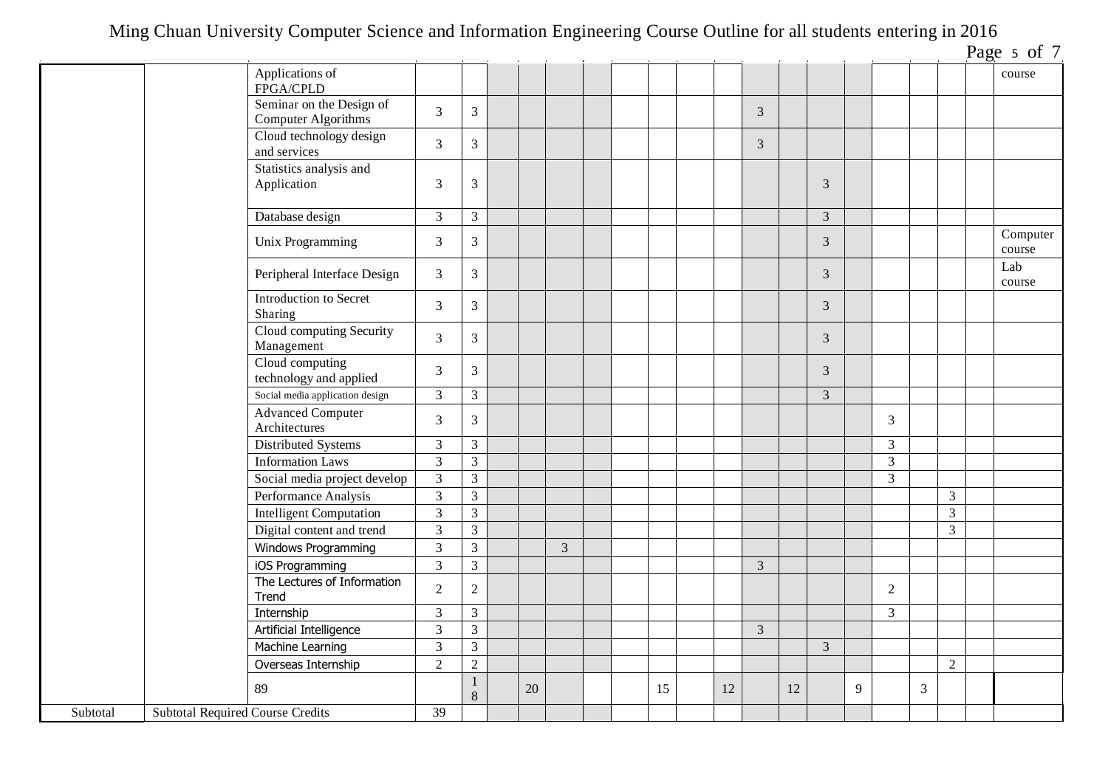|          |                                         |                                                 |                         |                   |    |   |  |    |    |                |    |                |   |                         |   |                | Page 5 of 7        |
|----------|-----------------------------------------|-------------------------------------------------|-------------------------|-------------------|----|---|--|----|----|----------------|----|----------------|---|-------------------------|---|----------------|--------------------|
|          |                                         | Applications of<br>FPGA/CPLD                    |                         |                   |    |   |  |    |    |                |    |                |   |                         |   |                | course             |
|          |                                         | Seminar on the Design of<br>Computer Algorithms | $\overline{3}$          | $\mathfrak{Z}$    |    |   |  |    |    | 3              |    |                |   |                         |   |                |                    |
|          |                                         | Cloud technology design<br>and services         | 3                       | $\mathfrak{Z}$    |    |   |  |    |    | 3              |    |                |   |                         |   |                |                    |
|          |                                         | Statistics analysis and<br>Application          | 3                       | 3                 |    |   |  |    |    |                |    | $\mathfrak{Z}$ |   |                         |   |                |                    |
|          |                                         | Database design                                 | $\overline{3}$          | $\overline{3}$    |    |   |  |    |    |                |    | $\overline{3}$ |   |                         |   |                |                    |
|          |                                         | Unix Programming                                | 3                       | $\mathfrak{Z}$    |    |   |  |    |    |                |    | 3              |   |                         |   |                | Computer<br>course |
|          |                                         | Peripheral Interface Design                     | $\overline{3}$          | $\overline{3}$    |    |   |  |    |    |                |    | 3              |   |                         |   |                | Lab<br>course      |
|          |                                         | Introduction to Secret<br>Sharing               | $\overline{3}$          | 3 <sup>1</sup>    |    |   |  |    |    |                |    | 3              |   |                         |   |                |                    |
|          |                                         | Cloud computing Security<br>Management          | $\overline{3}$          | $\mathfrak{Z}$    |    |   |  |    |    |                |    | 3              |   |                         |   |                |                    |
|          |                                         | Cloud computing<br>technology and applied       | 3                       | $\mathfrak{Z}$    |    |   |  |    |    |                |    | 3              |   |                         |   |                |                    |
|          |                                         | Social media application design                 | $\overline{3}$          | $\overline{3}$    |    |   |  |    |    |                |    | $\overline{3}$ |   |                         |   |                |                    |
|          |                                         | <b>Advanced Computer</b><br>Architectures       | $\overline{3}$          | $\mathfrak{Z}$    |    |   |  |    |    |                |    |                |   | 3                       |   |                |                    |
|          |                                         | Distributed Systems                             | $\mathfrak{Z}$          | $\overline{3}$    |    |   |  |    |    |                |    |                |   | $\mathfrak{Z}$          |   |                |                    |
|          |                                         | <b>Information Laws</b>                         | $\overline{3}$          | $\overline{3}$    |    |   |  |    |    |                |    |                |   | $\overline{\mathbf{3}}$ |   |                |                    |
|          |                                         | Social media project develop                    | $\overline{3}$          | $\overline{3}$    |    |   |  |    |    |                |    |                |   | $\overline{3}$          |   |                |                    |
|          |                                         | Performance Analysis                            | $\overline{3}$          | $\overline{3}$    |    |   |  |    |    |                |    |                |   |                         |   | 3              |                    |
|          |                                         | <b>Intelligent Computation</b>                  | $\mathfrak{Z}$          | $\mathfrak{Z}$    |    |   |  |    |    |                |    |                |   |                         |   | $\mathfrak{Z}$ |                    |
|          |                                         | Digital content and trend                       | $\overline{3}$          | $\overline{3}$    |    |   |  |    |    |                |    |                |   |                         |   | $\mathfrak{Z}$ |                    |
|          |                                         | Windows Programming                             | $\mathfrak{Z}$          | $\overline{3}$    |    | 3 |  |    |    |                |    |                |   |                         |   |                |                    |
|          |                                         | iOS Programming                                 | 3                       | $\overline{3}$    |    |   |  |    |    | 3              |    |                |   |                         |   |                |                    |
|          |                                         | The Lectures of Information<br>Trend            | $\overline{2}$          | $\overline{2}$    |    |   |  |    |    |                |    |                |   | 2                       |   |                |                    |
|          |                                         | Internship                                      | $\overline{3}$          | 3 <sup>7</sup>    |    |   |  |    |    |                |    |                |   | $\overline{3}$          |   |                |                    |
|          |                                         | Artificial Intelligence                         | $\overline{\mathbf{3}}$ | $\mathfrak{Z}$    |    |   |  |    |    | $\mathfrak{Z}$ |    |                |   |                         |   |                |                    |
|          |                                         | Machine Learning                                | $\mathfrak{Z}$          | $\overline{3}$    |    |   |  |    |    |                |    | $\overline{3}$ |   |                         |   |                |                    |
|          |                                         | Overseas Internship                             | $\overline{2}$          | $\overline{2}$    |    |   |  |    |    |                |    |                |   |                         |   | $\overline{2}$ |                    |
|          |                                         | 89                                              |                         | $\mathbf{1}$<br>8 | 20 |   |  | 15 | 12 |                | 12 |                | 9 |                         | 3 |                |                    |
| Subtotal | <b>Subtotal Required Course Credits</b> |                                                 | 39                      |                   |    |   |  |    |    |                |    |                |   |                         |   |                |                    |